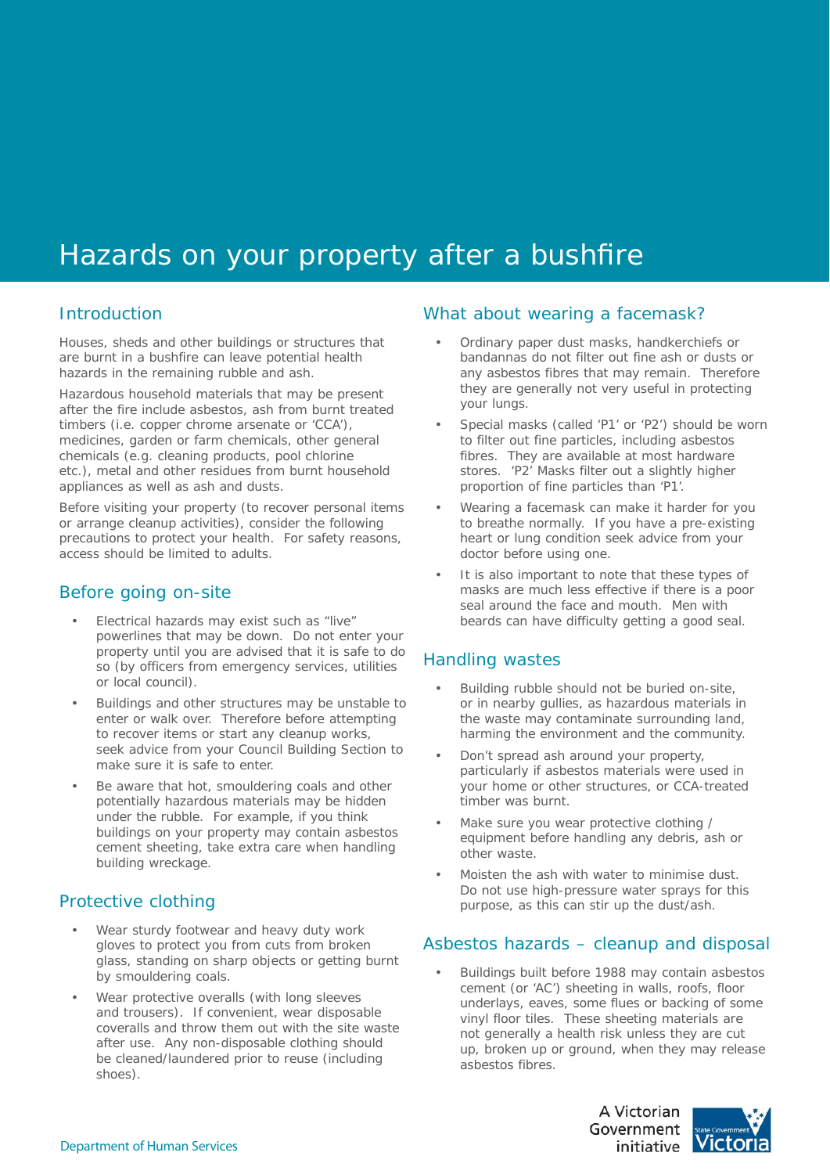# Hazards on your property after a bushfire

#### Introduction

Houses, sheds and other buildings or structures that are burnt in a bushfire can leave potential health hazards in the remaining rubble and ash.

Hazardous household materials that may be present after the fire include asbestos, ash from burnt treated timbers (i.e. copper chrome arsenate or 'CCA'), medicines, garden or farm chemicals, other general chemicals (e.g. cleaning products, pool chlorine etc.), metal and other residues from burnt household appliances as well as ash and dusts.

Before visiting your property (to recover personal items or arrange cleanup activities), consider the following precautions to protect your health. For safety reasons, access should be limited to adults.

#### Before going on-site

- Electrical hazards may exist such as "live" powerlines that may be down. Do not enter your property until you are advised that it is safe to do so (by officers from emergency services, utilities or local council). •
- Buildings and other structures may be unstable to enter or walk over. Therefore before attempting to recover items or start any cleanup works, seek advice from your Council Building Section to make sure it is safe to enter. •
- Be aware that hot, smouldering coals and other potentially hazardous materials may be hidden under the rubble. For example, if you think buildings on your property may contain asbestos cement sheeting, take extra care when handling building wreckage. •

### Protective clothing

- Wear sturdy footwear and heavy duty work gloves to protect you from cuts from broken glass, standing on sharp objects or getting burnt by smouldering coals. •
- Wear protective overalls (with long sleeves and trousers). If convenient, wear disposable coveralls and throw them out with the site waste after use. Any non-disposable clothing should be cleaned/laundered prior to reuse (including shoes). •

#### What about wearing a facemask?

- Ordinary paper dust masks, handkerchiefs or bandannas do not filter out fine ash or dusts or any asbestos fibres that may remain. Therefore they are generally not very useful in protecting your lungs. •
- Special masks (called 'P1' or 'P2') should be worn to filter out fine particles, including asbestos fibres. They are available at most hardware stores. 'P2' Masks filter out a slightly higher proportion of fine particles than 'P1'. •
- Wearing a facemask can make it harder for you to breathe normally. If you have a pre-existing heart or lung condition seek advice from your doctor before using one. •
- It is also important to note that these types of masks are much less effective if there is a poor seal around the face and mouth. Men with beards can have difficulty getting a good seal. •

### Handling wastes

- Building rubble should not be buried on-site, or in nearby gullies, as hazardous materials in the waste may contaminate surrounding land, harming the environment and the community. •
- Don't spread ash around your property, particularly if asbestos materials were used in your home or other structures, or CCA-treated timber was burnt. •
- Make sure you wear protective clothing / equipment before handling any debris, ash or other waste. •
- Moisten the ash with water to minimise dust. Do not use high-pressure water sprays for this purpose, as this can stir up the dust/ash. •

### Asbestos hazards – cleanup and disposal

Buildings built before 1988 may contain asbestos cement (or 'AC') sheeting in walls, roofs, floor underlays, eaves, some flues or backing of some vinyl floor tiles. These sheeting materials are not generally a health risk unless they are cut up, broken up or ground, when they may release asbestos fibres. •

> A Victorian Government initiative